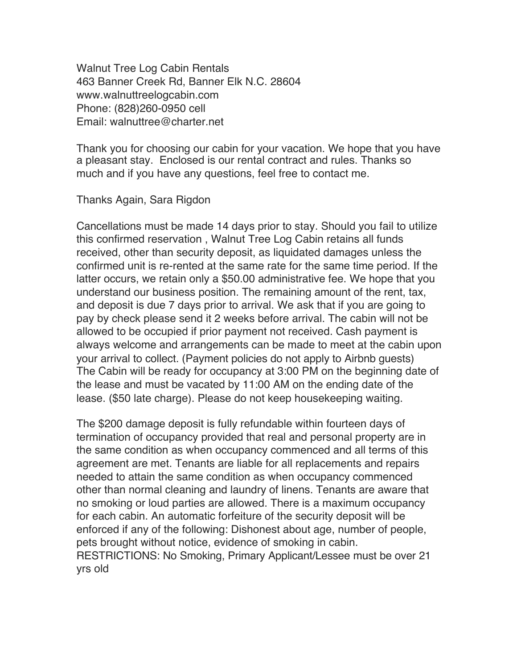Walnut Tree Log Cabin Rentals 463 Banner Creek Rd, Banner Elk N.C. 28604 www.walnuttreelogcabin.com Phone: (828)260-0950 cell Email: walnuttree@charter.net

Thank you for choosing our cabin for your vacation. We hope that you have a pleasant stay. Enclosed is our rental contract and rules. Thanks so much and if you have any questions, feel free to contact me.

Thanks Again, Sara Rigdon

Cancellations must be made 14 days prior to stay. Should you fail to utilize this confirmed reservation , Walnut Tree Log Cabin retains all funds received, other than security deposit, as liquidated damages unless the confirmed unit is re-rented at the same rate for the same time period. If the latter occurs, we retain only a \$50.00 administrative fee. We hope that you understand our business position. The remaining amount of the rent, tax, and deposit is due 7 days prior to arrival. We ask that if you are going to pay by check please send it 2 weeks before arrival. The cabin will not be allowed to be occupied if prior payment not received. Cash payment is always welcome and arrangements can be made to meet at the cabin upon your arrival to collect. (Payment policies do not apply to Airbnb guests) The Cabin will be ready for occupancy at 3:00 PM on the beginning date of the lease and must be vacated by 11:00 AM on the ending date of the lease. (\$50 late charge). Please do not keep housekeeping waiting.

The \$200 damage deposit is fully refundable within fourteen days of termination of occupancy provided that real and personal property are in the same condition as when occupancy commenced and all terms of this agreement are met. Tenants are liable for all replacements and repairs needed to attain the same condition as when occupancy commenced other than normal cleaning and laundry of linens. Tenants are aware that no smoking or loud parties are allowed. There is a maximum occupancy for each cabin. An automatic forfeiture of the security deposit will be enforced if any of the following: Dishonest about age, number of people, pets brought without notice, evidence of smoking in cabin. RESTRICTIONS: No Smoking, Primary Applicant/Lessee must be over 21 yrs old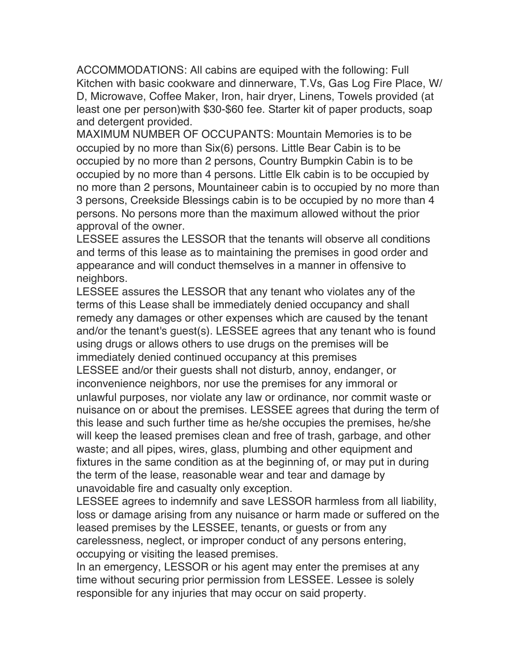ACCOMMODATIONS: All cabins are equiped with the following: Full Kitchen with basic cookware and dinnerware, T.Vs, Gas Log Fire Place, W/ D, Microwave, Coffee Maker, Iron, hair dryer, Linens, Towels provided (at least one per person)with \$30-\$60 fee. Starter kit of paper products, soap and detergent provided.

MAXIMUM NUMBER OF OCCUPANTS: Mountain Memories is to be occupied by no more than Six(6) persons. Little Bear Cabin is to be occupied by no more than 2 persons, Country Bumpkin Cabin is to be occupied by no more than 4 persons. Little Elk cabin is to be occupied by no more than 2 persons, Mountaineer cabin is to occupied by no more than 3 persons, Creekside Blessings cabin is to be occupied by no more than 4 persons. No persons more than the maximum allowed without the prior approval of the owner.

LESSEE assures the LESSOR that the tenants will observe all conditions and terms of this lease as to maintaining the premises in good order and appearance and will conduct themselves in a manner in offensive to neighbors.

LESSEE assures the LESSOR that any tenant who violates any of the terms of this Lease shall be immediately denied occupancy and shall remedy any damages or other expenses which are caused by the tenant and/or the tenant's guest(s). LESSEE agrees that any tenant who is found using drugs or allows others to use drugs on the premises will be immediately denied continued occupancy at this premises LESSEE and/or their guests shall not disturb, annoy, endanger, or

inconvenience neighbors, nor use the premises for any immoral or unlawful purposes, nor violate any law or ordinance, nor commit waste or nuisance on or about the premises. LESSEE agrees that during the term of this lease and such further time as he/she occupies the premises, he/she will keep the leased premises clean and free of trash, garbage, and other waste; and all pipes, wires, glass, plumbing and other equipment and fixtures in the same condition as at the beginning of, or may put in during the term of the lease, reasonable wear and tear and damage by unavoidable fire and casualty only exception.

LESSEE agrees to indemnify and save LESSOR harmless from all liability, loss or damage arising from any nuisance or harm made or suffered on the leased premises by the LESSEE, tenants, or guests or from any carelessness, neglect, or improper conduct of any persons entering, occupying or visiting the leased premises.

In an emergency, LESSOR or his agent may enter the premises at any time without securing prior permission from LESSEE. Lessee is solely responsible for any injuries that may occur on said property.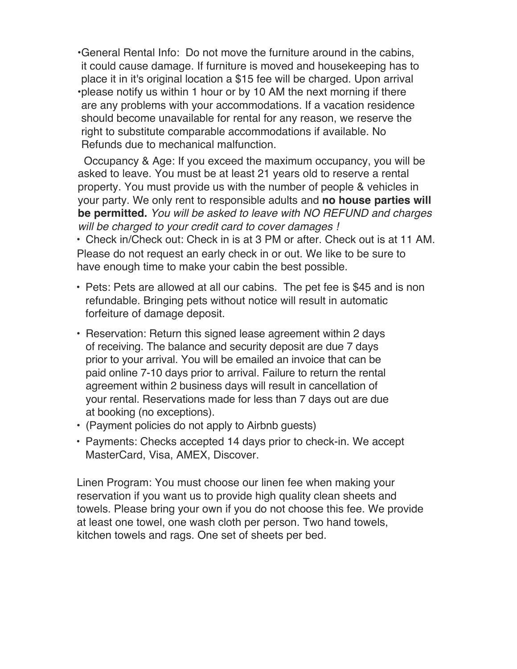•General Rental Info: Do not move the furniture around in the cabins, it could cause damage. If furniture is moved and housekeeping has to place it in it's original location a \$15 fee will be charged. Upon arrival •please notify us within 1 hour or by 10 AM the next morning if there are any problems with your accommodations. If a vacation residence should become unavailable for rental for any reason, we reserve the right to substitute comparable accommodations if available. No Refunds due to mechanical malfunction.

Occupancy & Age: If you exceed the maximum occupancy, you will be asked to leave. You must be at least 21 years old to reserve a rental property. You must provide us with the number of people & vehicles in your party. We only rent to responsible adults and **no house parties will be permitted.** *You will be asked to leave with NO REFUND and charges will be charged to your credit card to cover damages !*

• Check in/Check out: Check in is at 3 PM or after. Check out is at 11 AM. Please do not request an early check in or out. We like to be sure to have enough time to make your cabin the best possible.

- Pets: Pets are allowed at all our cabins. The pet fee is \$45 and is non refundable. Bringing pets without notice will result in automatic forfeiture of damage deposit.
- Reservation: Return this signed lease agreement within 2 days of receiving. The balance and security deposit are due 7 days prior to your arrival. You will be emailed an invoice that can be paid online 7-10 days prior to arrival. Failure to return the rental agreement within 2 business days will result in cancellation of your rental. Reservations made for less than 7 days out are due at booking (no exceptions).
- (Payment policies do not apply to Airbnb guests)
- Payments: Checks accepted 14 days prior to check-in. We accept MasterCard, Visa, AMEX, Discover.

Linen Program: You must choose our linen fee when making your reservation if you want us to provide high quality clean sheets and towels. Please bring your own if you do not choose this fee. We provide at least one towel, one wash cloth per person. Two hand towels, kitchen towels and rags. One set of sheets per bed.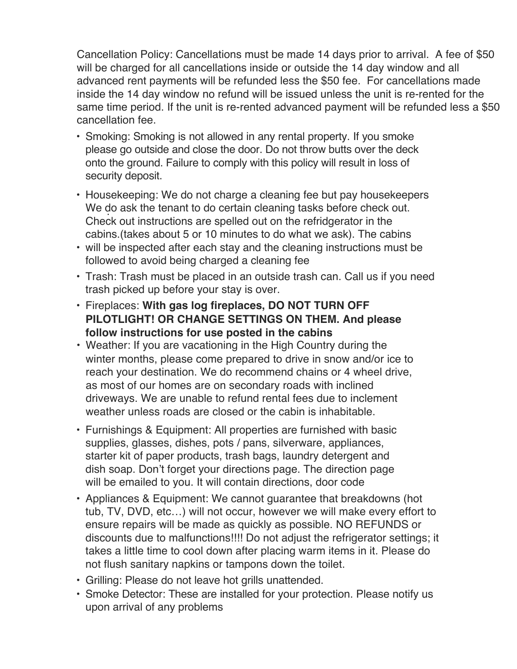Cancellation Policy: Cancellations must be made 14 days prior to arrival. A fee of \$50 will be charged for all cancellations inside or outside the 14 day window and all advanced rent payments will be refunded less the \$50 fee. For cancellations made inside the 14 day window no refund will be issued unless the unit is re-rented for the same time period. If the unit is re-rented advanced payment will be refunded less a \$50 cancellation fee.

- Smoking: Smoking is not allowed in any rental property. If you smoke please go outside and close the door. Do not throw butts over the deck onto the ground. Failure to comply with this policy will result in loss of security deposit.
- Housekeeping: We do not charge a cleaning fee but pay housekeepers We do ask the tenant to do certain cleaning tasks before check out. Check out instructions are spelled out on the refridgerator in the cabins.(takes about 5 or 10 minutes to do what we ask). The cabins
- will be inspected after each stay and the cleaning instructions must be followed to avoid being charged a cleaning fee
- Trash: Trash must be placed in an outside trash can. Call us if you need trash picked up before your stay is over.
- Fireplaces: **With gas log fireplaces, DO NOT TURN OFF PILOTLIGHT! OR CHANGE SETTINGS ON THEM. And please follow instructions for use posted in the cabins**
- Weather: If you are vacationing in the High Country during the winter months, please come prepared to drive in snow and/or ice to reach your destination. We do recommend chains or 4 wheel drive, as most of our homes are on secondary roads with inclined driveways. We are unable to refund rental fees due to inclement weather unless roads are closed or the cabin is inhabitable.
- Furnishings & Equipment: All properties are furnished with basic supplies, glasses, dishes, pots / pans, silverware, appliances, starter kit of paper products, trash bags, laundry detergent and dish soap. Don't forget your directions page. The direction page will be emailed to you. It will contain directions, door code
- Appliances & Equipment: We cannot guarantee that breakdowns (hot tub, TV, DVD, etc…) will not occur, however we will make every effort to ensure repairs will be made as quickly as possible. NO REFUNDS or discounts due to malfunctions!!!! Do not adjust the refrigerator settings; it takes a little time to cool down after placing warm items in it. Please do not flush sanitary napkins or tampons down the toilet.
- Grilling: Please do not leave hot grills unattended.
- Smoke Detector: These are installed for your protection. Please notify us upon arrival of any problems